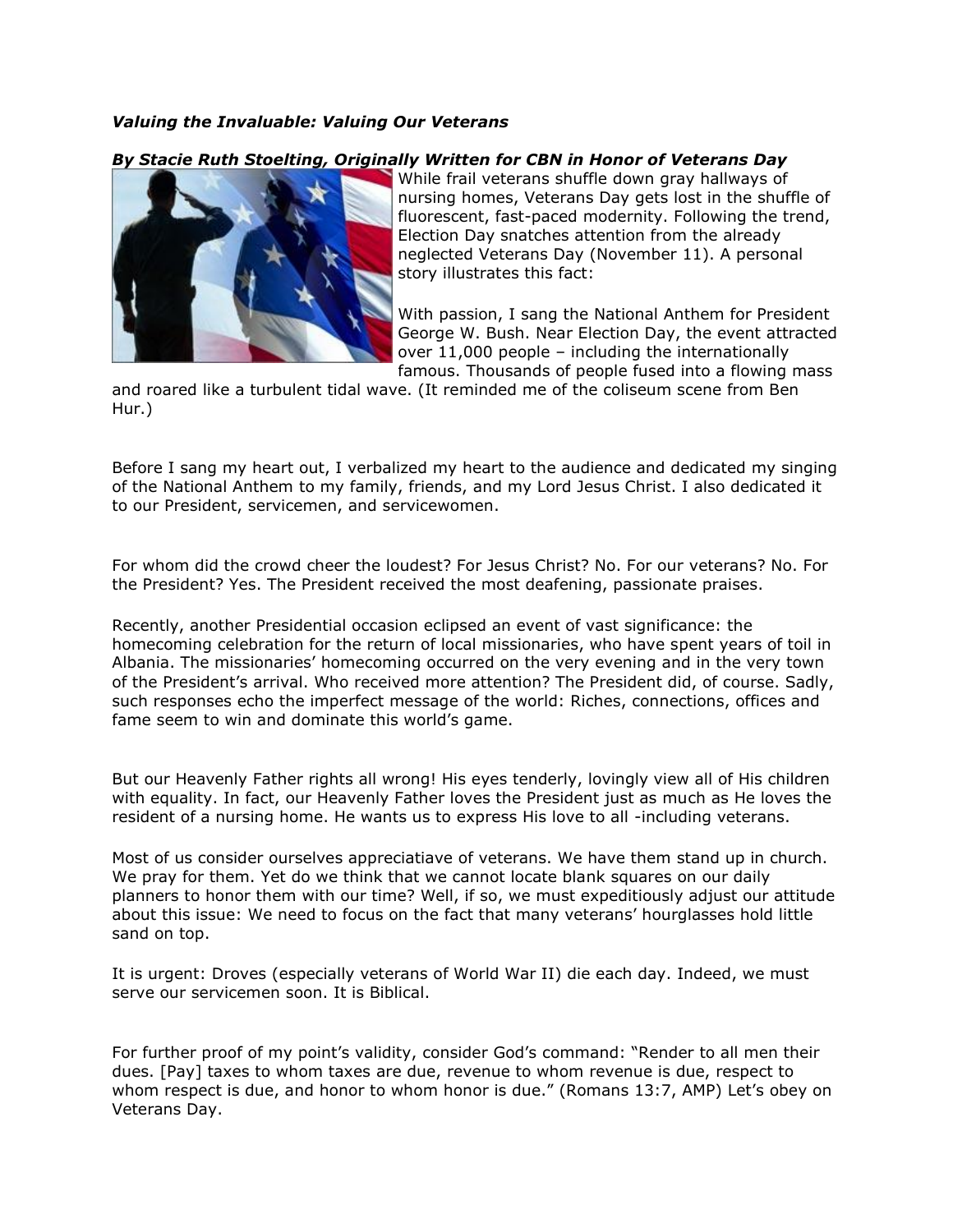## *Valuing the Invaluable: Valuing Our Veterans*

## *By Stacie Ruth Stoelting, Originally Written for CBN in Honor of Veterans Day*



While frail veterans shuffle down gray hallways of nursing homes, Veterans Day gets lost in the shuffle of fluorescent, fast-paced modernity. Following the trend, Election Day snatches attention from the already neglected Veterans Day (November 11). A personal story illustrates this fact:

With passion, I sang the National Anthem for President George W. Bush. Near Election Day, the event attracted over 11,000 people – including the internationally famous. Thousands of people fused into a flowing mass

and roared like a turbulent tidal wave. (It reminded me of the coliseum scene from Ben Hur.)

Before I sang my heart out, I verbalized my heart to the audience and dedicated my singing of the National Anthem to my family, friends, and my Lord Jesus Christ. I also dedicated it to our President, servicemen, and servicewomen.

For whom did the crowd cheer the loudest? For Jesus Christ? No. For our veterans? No. For the President? Yes. The President received the most deafening, passionate praises.

Recently, another Presidential occasion eclipsed an event of vast significance: the homecoming celebration for the return of local missionaries, who have spent years of toil in Albania. The missionaries' homecoming occurred on the very evening and in the very town of the President's arrival. Who received more attention? The President did, of course. Sadly, such responses echo the imperfect message of the world: Riches, connections, offices and fame seem to win and dominate this world's game.

But our Heavenly Father rights all wrong! His eyes tenderly, lovingly view all of His children with equality. In fact, our Heavenly Father loves the President just as much as He loves the resident of a nursing home. He wants us to express His love to all -including veterans.

Most of us consider ourselves appreciatiave of veterans. We have them stand up in church. We pray for them. Yet do we think that we cannot locate blank squares on our daily planners to honor them with our time? Well, if so, we must expeditiously adjust our attitude about this issue: We need to focus on the fact that many veterans' hourglasses hold little sand on top.

It is urgent: Droves (especially veterans of World War II) die each day. Indeed, we must serve our servicemen soon. It is Biblical.

For further proof of my point's validity, consider God's command: "Render to all men their dues. [Pay] taxes to whom taxes are due, revenue to whom revenue is due, respect to whom respect is due, and honor to whom honor is due." (Romans 13:7, AMP) Let's obey on Veterans Day.